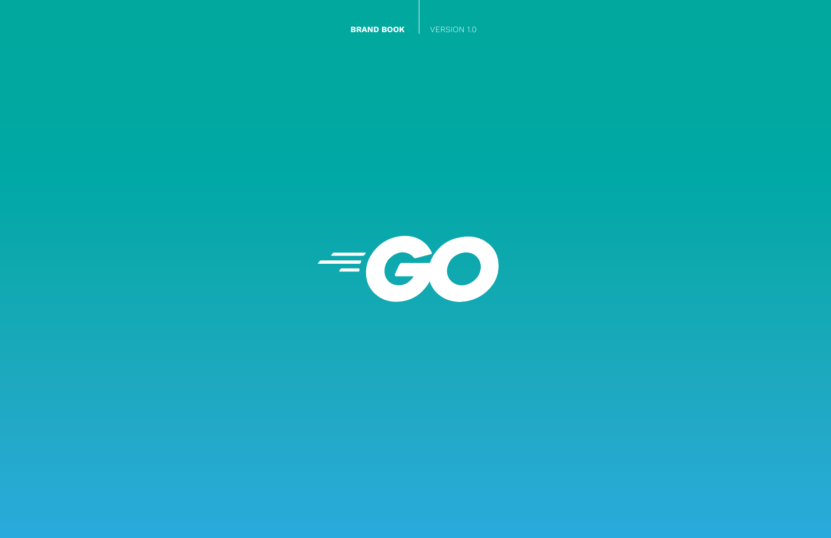**BRAND BOOK** VERSION 1.0

 $\equiv$  (CO)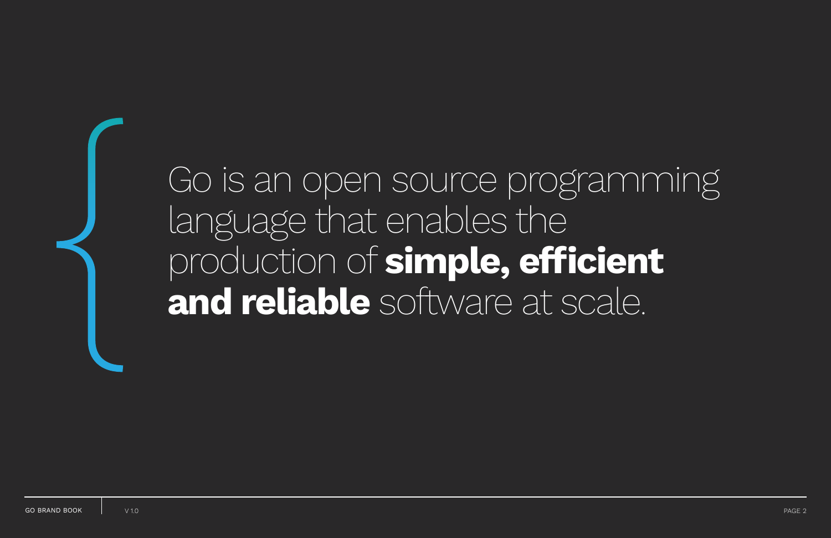# Go is an open source programming language that enables the production of **simple, efficient** { **and reliable** software at scale.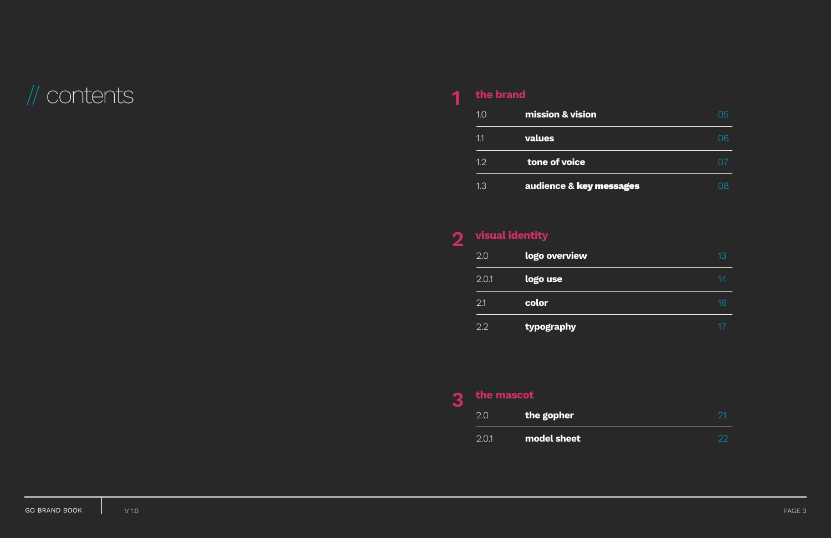## // contents **the brand**

| 1.0 | mission & vision        |  |
|-----|-------------------------|--|
| 11  | values                  |  |
| 1.2 | tone of voice           |  |
| 1.3 | audience & key messages |  |

| 13 |
|----|
| 14 |
| 16 |
| 17 |

| visual identity |               |
|-----------------|---------------|
| 2.0             | logo overview |
| 2.0.1           | logo use      |
| 2.1             | color         |
| 2.2             | typography    |

| the mascot |             |  |
|------------|-------------|--|
| 2.0        | the gopher  |  |
| 2.01       | model sheet |  |

### **1**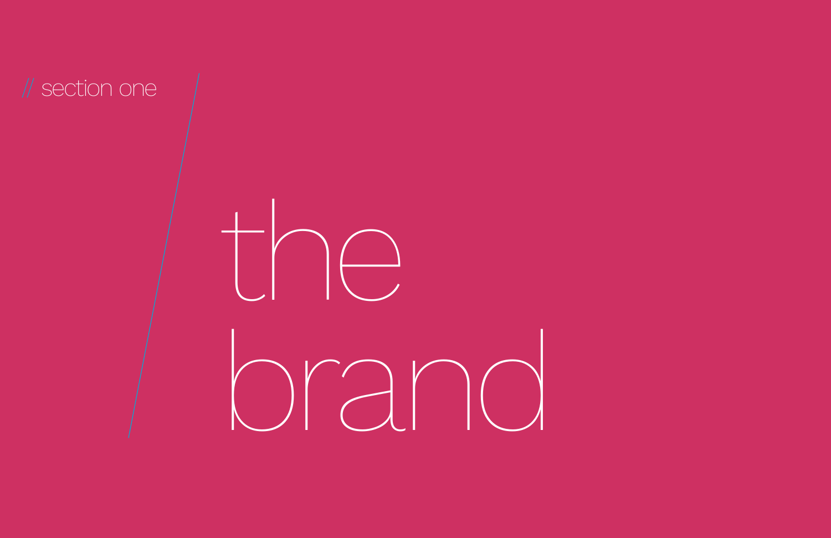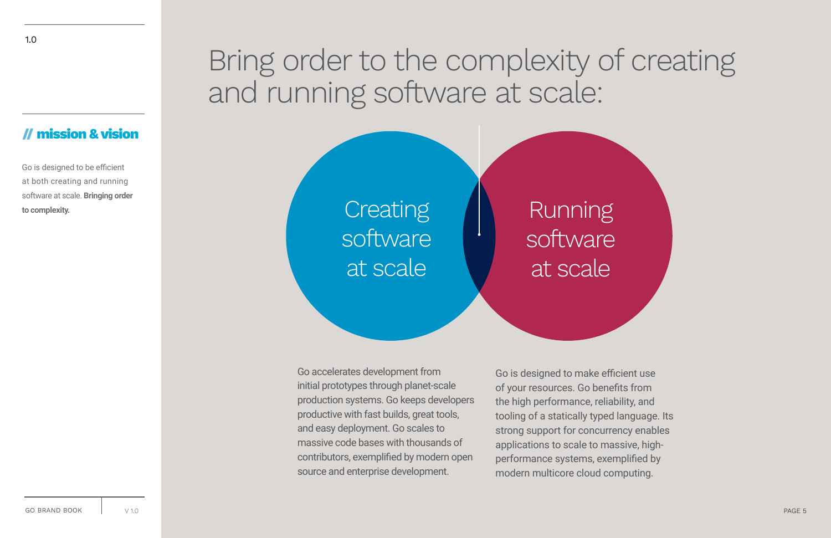## Bring order to the complexity of creating and running software at scale:

### **// mission & vision**

Go is designed to be efficient at both creating and running software at scale. **Bringing order to complexity.**

> Go accelerates development from initial prototypes through planet-scale production systems. Go keeps developers productive with fast builds, great tools, and easy deployment. Go scales to massive code bases with thousands of contributors, exemplified by modern open source and enterprise development.

**Creating** software at scale

> Go is designed to make efficient use of your resources. Go benefits from the high performance, reliability, and tooling of a statically typed language. Its strong support for concurrency enables applications to scale to massive, highperformance systems, exemplified by modern multicore cloud computing.



## Running software at scale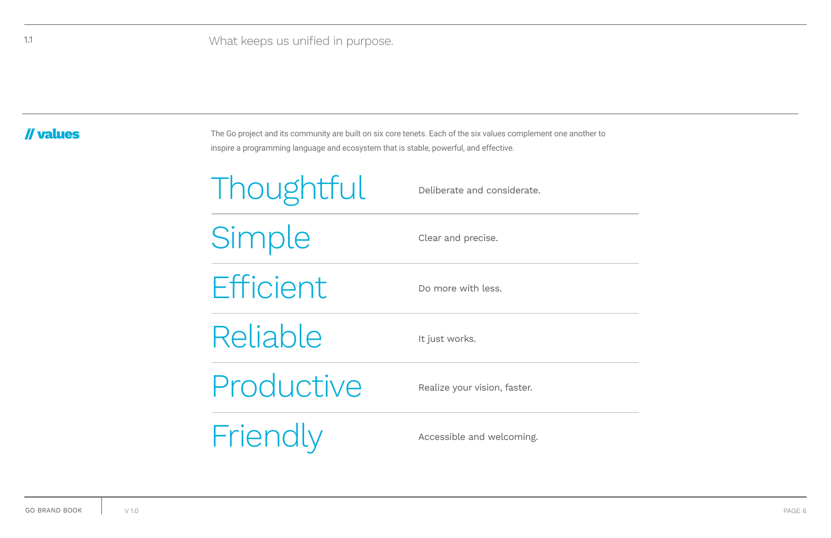### **// values**

| Thoughtful | Deliberate and considerate.  |
|------------|------------------------------|
| Simple     | Clear and precise.           |
| Efficient  | Do more with less.           |
| Reliable   | It just works.               |
| Productive | Realize your vision, faster. |
| Friendly   | Accessible and welcoming.    |

The Go project and its community are built on six core tenets. Each of the six values complement one another to inspire a programming language and ecosystem that is stable, powerful, and effective.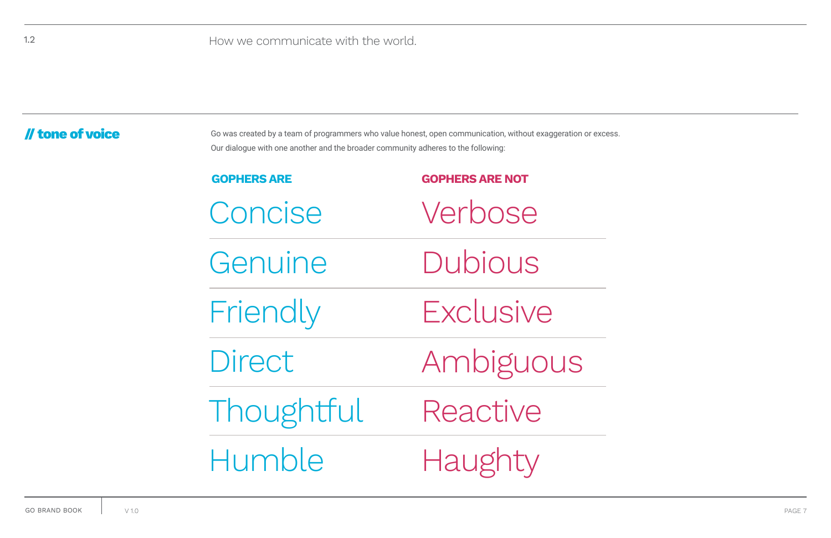### **// tone of voice**

Go was created by a team of programmers who value honest, open communication, without exaggeration or excess. Our dialogue with one another and the broader community adheres to the following:

| <b>GOPHERS ARE</b> | <b>GOPHERS ARE NOT</b> |
|--------------------|------------------------|
| Concise            | Verbose                |
| Genuine            | Dubious                |
| Friendly           | Exclusive              |
| Direct             | Ambiguous              |
| Thoughtful         | Reactive               |
| Humble             | Haughty                |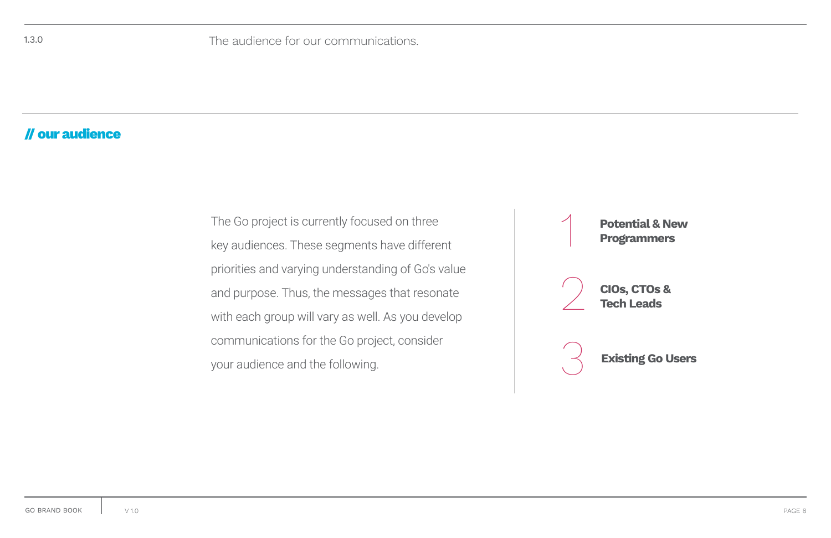**Potential & New Programmers** 

### **// our audience**

The Go project is currently focused on three key audiences. These segments have different priorities and varying understanding of Go's value and purpose. Thus, the messages that resonate with each group will vary as well. As you develop communications for the Go project, consider your audience and the following.



**CIOs, CTOs & Tech Leads**

**Existing Go Users**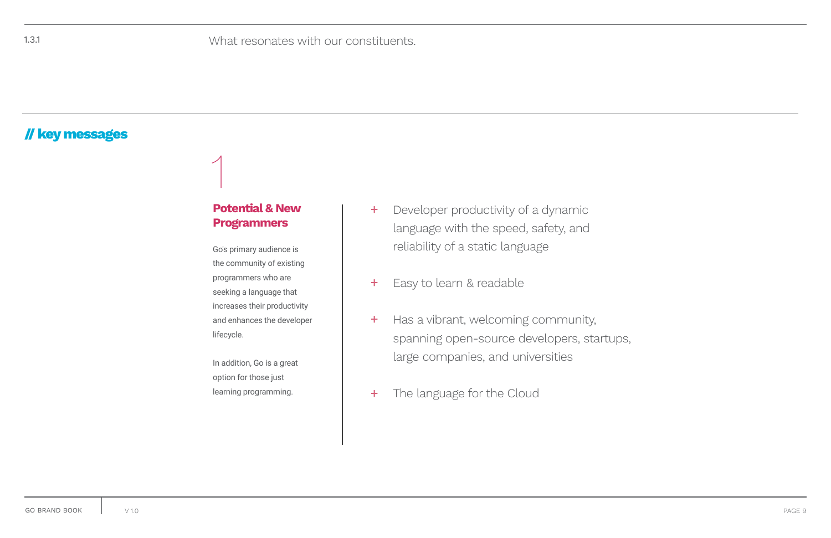### **// key messages**

Go's primary audience is the community of existing programmers who are seeking a language that increases their productivity and enhances the developer lifecycle.

In addition, Go is a great option for those just learning programming.

- Developer productivity of a dynamic language with the speed, safety, and reliability of a static language  $+$
- Easy to learn & readable  $+$
- Has a vibrant, welcoming community, spanning open-source developers, startups, large companies, and universities  $+$
- The language for the Cloud +

### **Potential & New Programmers**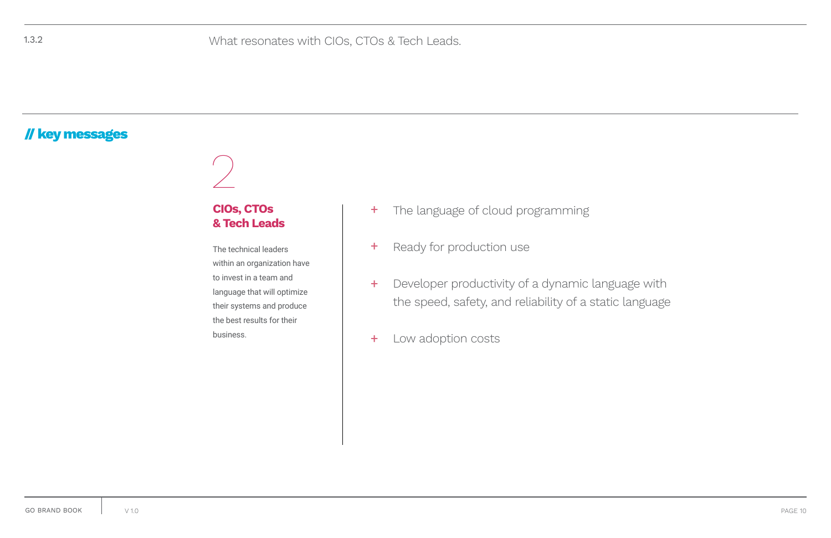### **// key messages**

- The language of cloud programming  $+$
- Ready for production use +
- Developer productivity of a dynamic language with the speed, safety, and reliability of a static language  $+$
- Low adoption costs +

The technical leaders within an organization have to invest in a team and language that will optimize their systems and produce the best results for their business.

### **CIOs, CTOs & Tech Leads**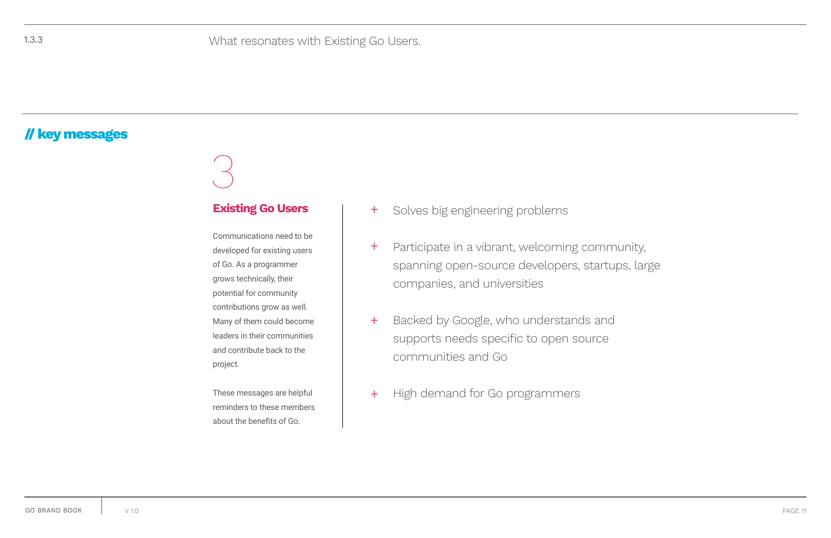Communications need to be developed for existing users of Go. As a programmer grows technically, their potential for community contributions grow as well. Many of them could become leaders in their communities and contribute back to the project.

These messages are helpful reminders to these members about the benefits of Go.

- $+$ **Existing Go Users**  $\begin{vmatrix} + & \text{Solves big engineering problems} \end{vmatrix}$ 
	- + Participate in a vibrant, welcoming community, spanning open-source developers, startups, large companies, and universities
	- + Backed by Google, who understands and supports needs specific to open source communities and Go
	- $+$ High demand for Go programmers

### **// key messages**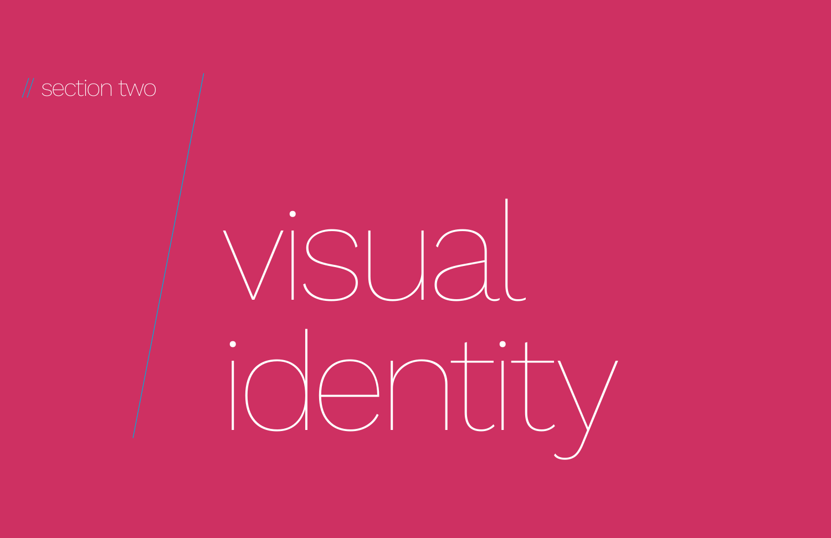

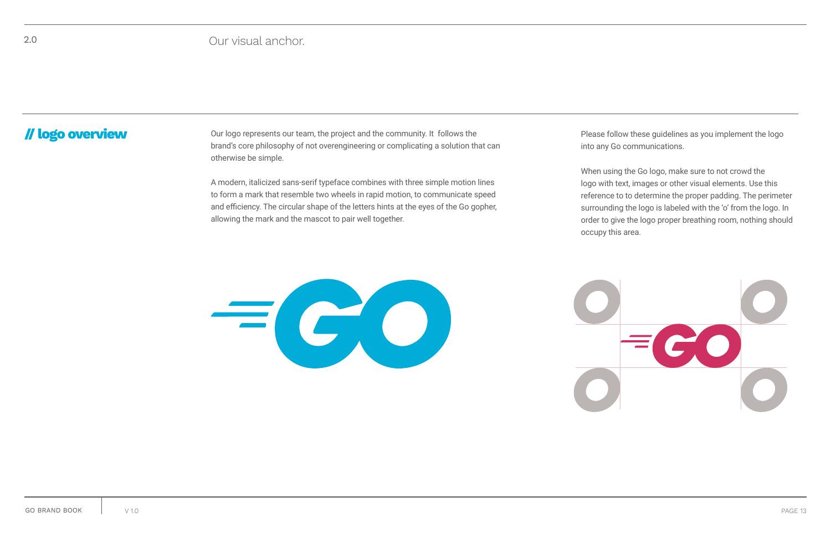**// logo overview** Our logo represents our team, the project and the community. It follows the brand's core philosophy of not overengineering or complicating a solution that can otherwise be simple.

> A modern, italicized sans-serif typeface combines with three simple motion lines to form a mark that resemble two wheels in rapid motion, to communicate speed and efficiency. The circular shape of the letters hints at the eyes of the Go gopher, allowing the mark and the mascot to pair well together.

### 2.0 Our visual anchor.

Please follow these guidelines as you implement the logo into any Go communications.



When using the Go logo, make sure to not crowd the logo with text, images or other visual elements. Use this reference to to determine the proper padding. The perimeter surrounding the logo is labeled with the 'o' from the logo. In order to give the logo proper breathing room, nothing should occupy this area.

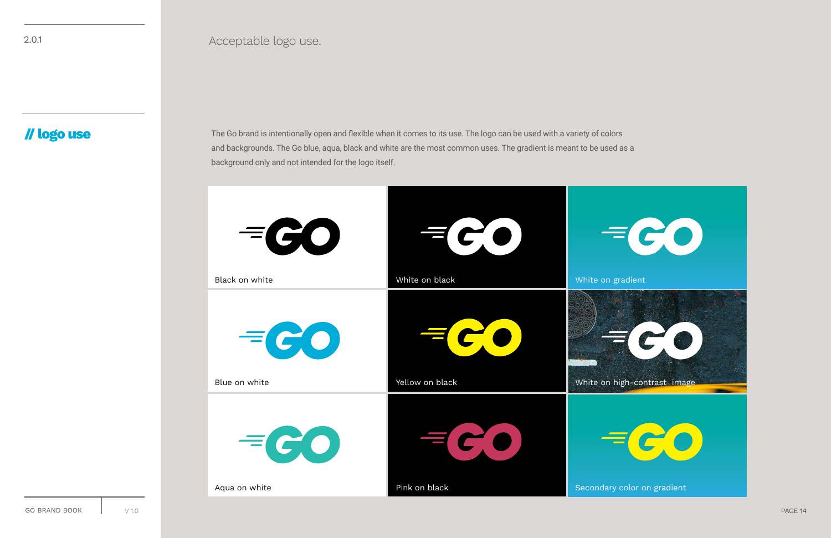### **// logo use**

2.0.1 Acceptable logo use.

The Go brand is intentionally open and flexible when it comes to its use. The logo can be used with a variety of colors and backgrounds. The Go blue, aqua, black and white are the most common uses. The gradient is meant to be used as a background only and not intended for the logo itself.

| $=$ $GO$       |                 |          |
|----------------|-----------------|----------|
| Black on white | White on black  | White on |
| $=$ $CO$       |                 |          |
| Blue on white  | Yellow on black | White on |
| $=$ $C$ $O$    |                 |          |
| Aqua on white  | Pink on black   | Secondar |

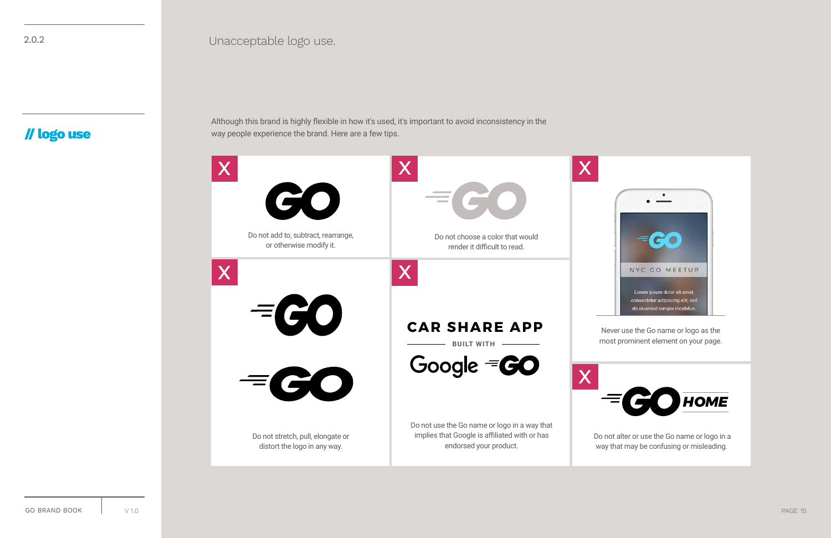### **// logo use**

2.0.2 Unacceptable logo use.

Although this brand is highly flexible in how it's used, it's important to avoid inconsistency in the way people experience the brand. Here are a few tips.

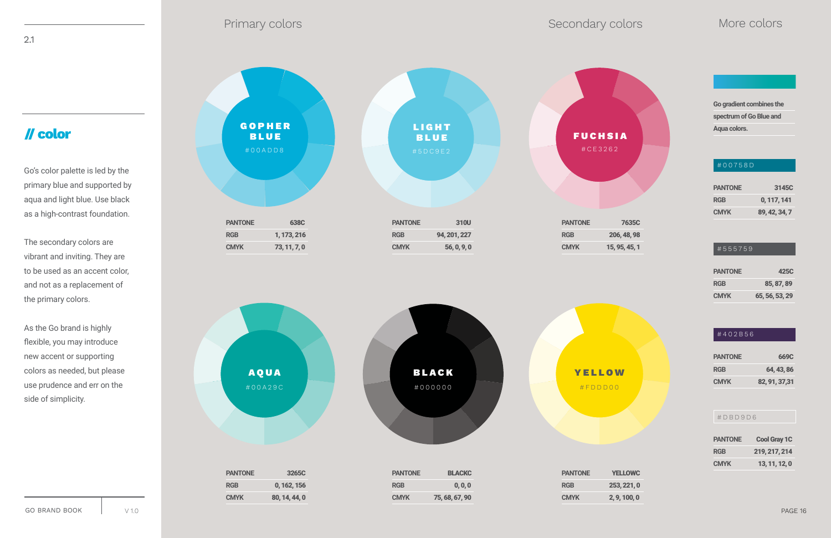### **// color**

2.1

Go's color palette is led by the primary blue and supported by aqua and light blue. Use black as a high-contrast foundation.

The secondary colors are vibrant and inviting. They are to be used as an accent color, and not as a replacement of the primary colors.

As the Go brand is highly flexible, you may introduce new accent or supporting colors as needed, but please use prudence and err on the side of simplicity.

**Go gradient combines the spectrum of Go Blue and Aqua colors.** 



| <b>PANTONE</b> | 3145C         |
|----------------|---------------|
| <b>RGB</b>     | 0, 117, 141   |
| <b>CMYK</b>    | 89, 42, 34, 7 |

### $|$ #555759

| <b>PANTONE</b> | 425C           |
|----------------|----------------|
| <b>RGB</b>     | 85, 87, 89     |
| <b>CMYK</b>    | 65, 56, 53, 29 |

### #402B56

| <b>PANTONE</b> | 669C           |
|----------------|----------------|
| <b>RGB</b>     | 64.43.86       |
| <b>CMYK</b>    | 82, 91, 37, 31 |

| <b>PANTONE</b> | <b>Cool Gray 1C</b> |
|----------------|---------------------|
| RGB            | 219, 217, 214       |
| CMYK           | 13, 11, 12, 0       |

### #00758D

### #DBD9D6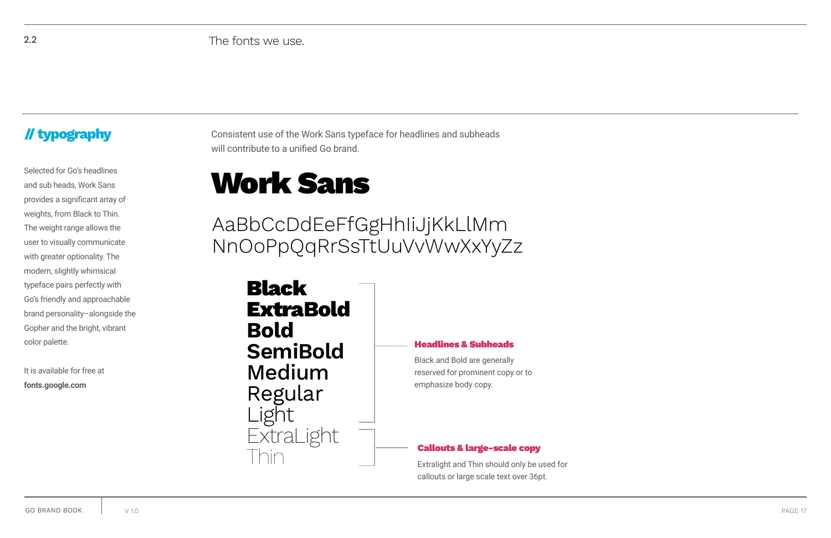### **// typography**

2.2 The fonts we use.

Consistent use of the Work Sans typeface for headlines and subheads will contribute to a unified Go brand.

## Selected for Go's headlines<br>and sub heads, Work Sans

Black Extra**Bold Bold SemiBold** Medium Regular Light **ExtraLight** Thin

### Headlines & Subheads

### Callouts & large-scale copy

Black and Bold are generally reserved for prominent copy or to emphasize body copy.

Extralight and Thin should only be used for callouts or large scale text over 36pt.

and sub heads, Work Sans provides a significant array of weights, from Black to Thin. The weight range allows the user to visually communicate with greater optionality. The modern, slightly whimsical typeface pairs perfectly with Go's friendly and approachable brand personality–alongside the Gopher and the bright, vibrant color palette.

It is available for free at **fonts.google.com** 

AaBbCcDdEeFfGgHhIiJjKkLlMm NnOoPpQqRrSsTtUuVvWwXxYyZz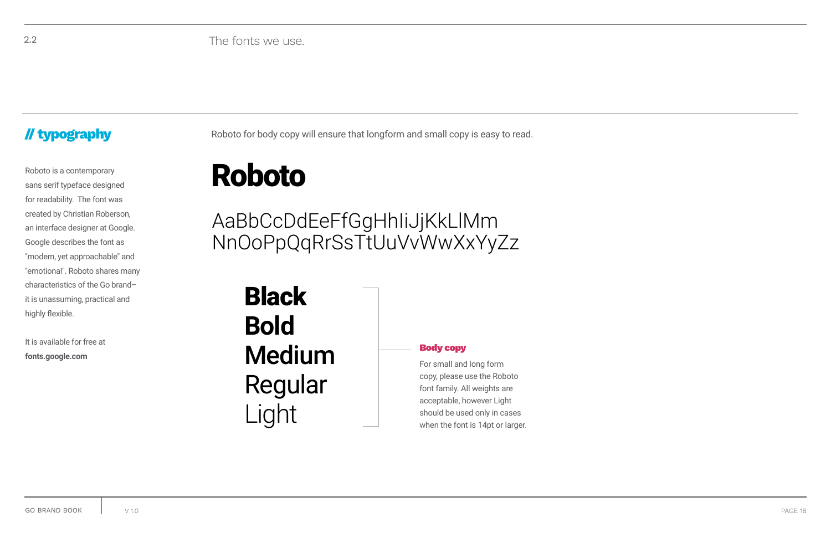### **// typography**

2.2 The fonts we use.

Roboto for body copy will ensure that longform and small copy is easy to read.

## Roboto is a contemporary<br>
Sans serif typeface designed<br>
Roboto **Roboto**

### Body copy

**Black Bold** Medium Regular Light

For small and long form copy, please use the Roboto font family. All weights are acceptable, however Light should be used only in cases when the font is 14pt or larger.

sans serif typeface designed for readability. The font was created by Christian Roberson, an interface designer at Google. Google describes the font as "modern, yet approachable" and "emotional". Roboto shares many characteristics of the Go brand– it is unassuming, practical and highly flexible.

It is available for free at **fonts.google.com**

AaBbCcDdEeFfGgHhIiJjKkLlMm NnOoPpQqRrSsTtUuVvWwXxYyZz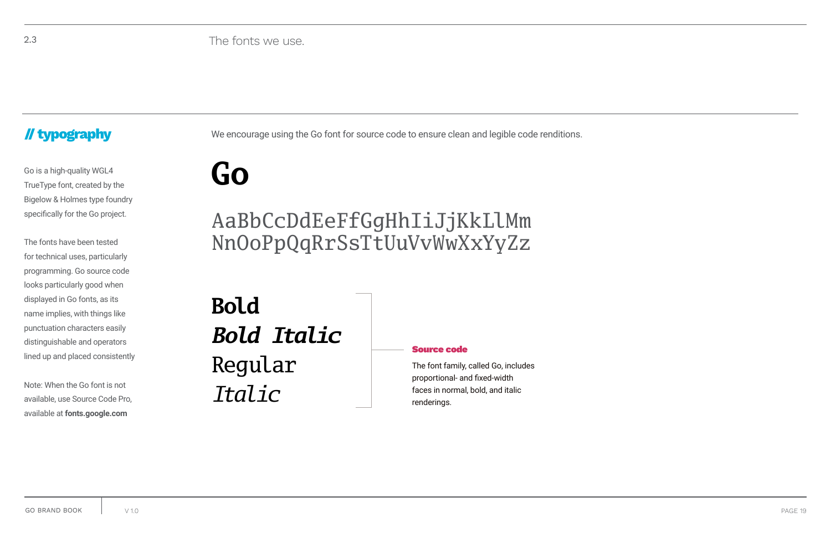### **// typography**

2.3 The fonts we use.

We encourage using the Go font for source code to ensure clean and legible code renditions.

### Source code

Go is a high-quality WGL4<br>TrueType font, created by the Bigelow & Holmes type foundry specifically for the Go project.

> The font family, called Go, includes proportional- and fixed-width faces in normal, bold, and italic renderings.

**Bold** *Bold Italic* Regular *Italic*

The fonts have been tested for technical uses, particularly programming. Go source code looks particularly good when displayed in Go fonts, as its name implies, with things like punctuation characters easily distinguishable and operators lined up and placed consistently

Note: When the Go font is not available, use Source Code Pro, available at **fonts.google.com**

## AaBbCcDdEeFfGgHhIiJjKkLlMm NnOoPpQqRrSsTtUuVvWwXxYyZz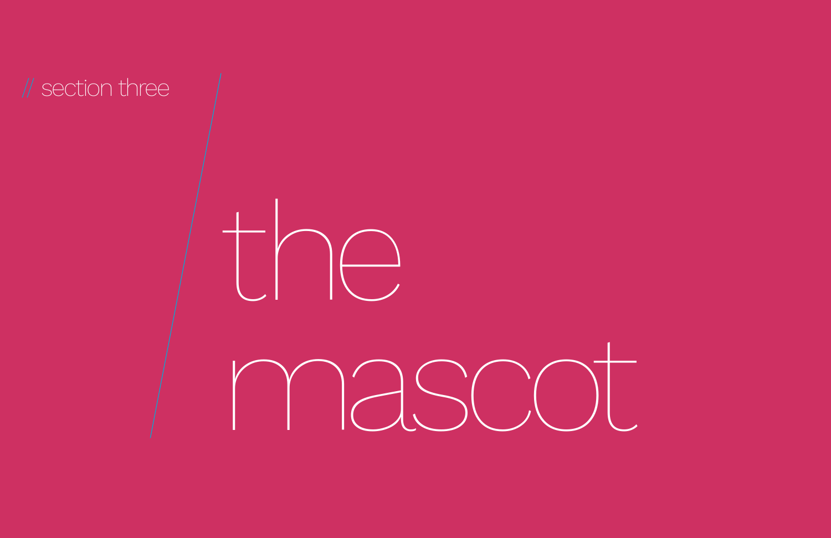

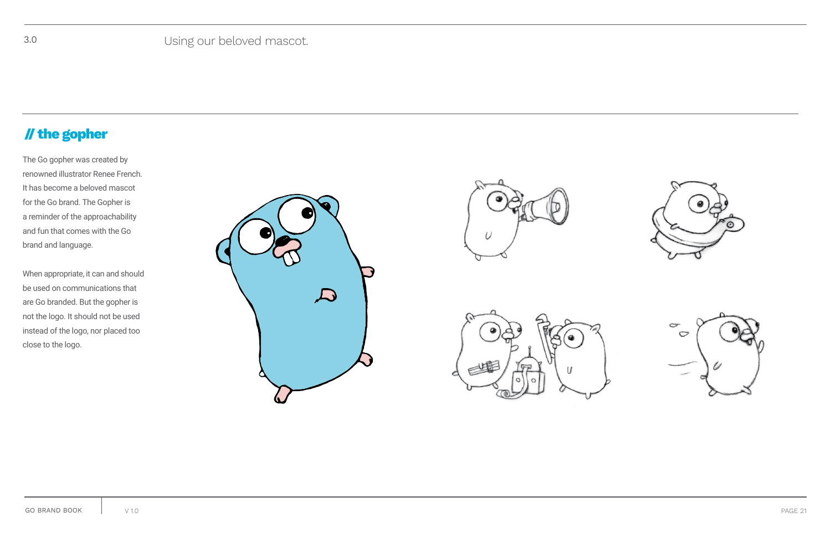



### **// the gopher**

The Go gopher was created by renowned illustrator Renee French. It has become a beloved mascot for the Go brand. The Gopher is a reminder of the approachability and fun that comes with the Go brand and language.

When appropriate, it can and should be used on communications that are Go branded. But the gopher is not the logo. It should not be used instead of the logo, nor placed too close to the logo.





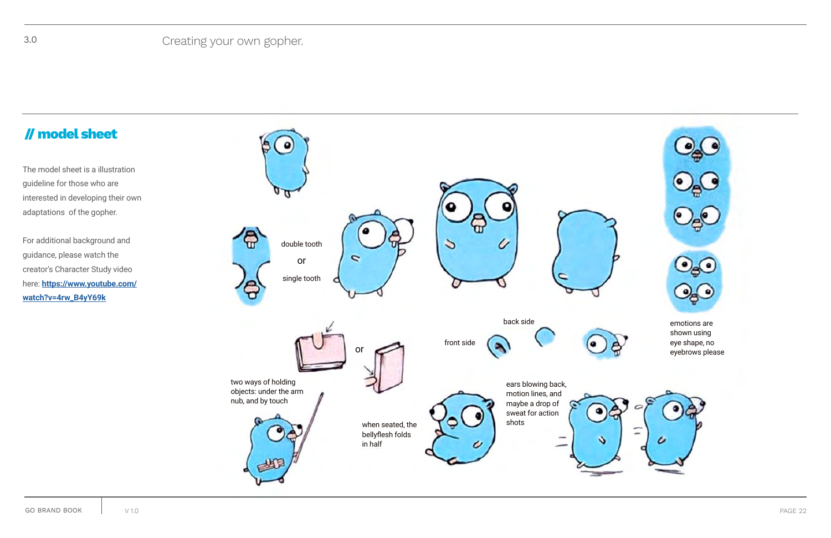

### **// model sheet**

The model sheet is a illustration guideline for those who are interested in developing their own adaptations of the gopher.

For additional background and guidance, please watch the creator's Character Study video here: **[https://www.youtube.com/](https://www.youtube.com/watch?v=4rw_B4yY69k) [watch?v=4rw\\_B4yY69k](https://www.youtube.com/watch?v=4rw_B4yY69k)**



emotions are shown using eye shape, no eyebrows please